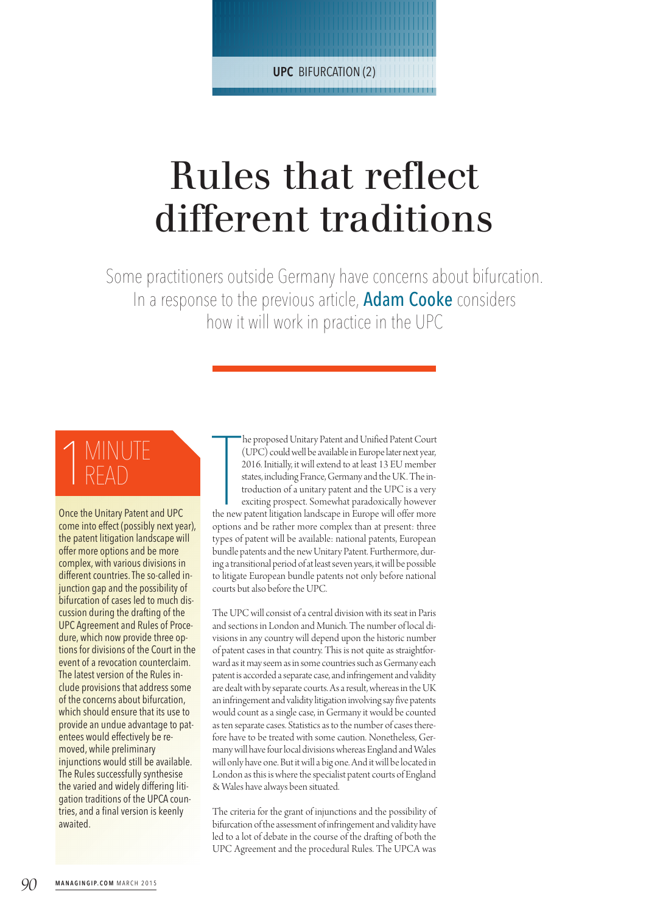| | | | | | | | | | | | | | | | | | | | | | | | | | | | | | | | | | | | | | | | | | | | | | | | | | | | | | | | | | | | | | | | | | | | | | | | | | | | | | | | | | | | | | | | | | | | | | **UPC** BIFURCATION (2)| | | | | | | | | | | | | | | | | | | | | | | | | | | | | | | | | | | | | | | | | | | | | | |

# Rules that reflect different traditions

Some practitioners outside Germany have concerns about bifurcation. In a response to the previous article, **Adam Cooke** considers how it will work in practice in the UPC

# 1 MINUTE<br>1 READ READ

Once the Unitary Patent and UPC come into effect (possibly next year), the patent litigation landscape will offer more options and be more complex, with various divisions in different countries.The so-called injunction gap and the possibility of bifurcation of cases led to much discussion during the drafting of the UPC Agreement and Rules of Procedure, which now provide three options for divisions of the Court in the event of a revocation counterclaim. The latest version of the Rules include provisions that address some of the concerns about bifurcation, which should ensure that its use to provide an undue advantage to patentees would effectively be removed, while preliminary injunctions would still be available. The Rules successfully synthesise the varied and widely differing litigation traditions of the UPCA countries, and a final version is keenly awaited.

The proposed Unitary Patent and Unified Patent Court (UPC) could well be available in Europe later next year, 2016. Initially, it will extend to at least 13 EU member states, including France, Germany and the UK. The intro he proposed Unitary Patent and Unified Patent Court (UPC) could well be available in Europe later next year, 2016. Initially, it will extend to at least 13 EU member states, including France, Germany and the UK. The introduction of a unitary patent and the UPC is a very exciting prospect. Somewhat paradoxically however options and be rather more complex than at present: three types of patent will be available: national patents, European bundle patents and the new Unitary Patent. Furthermore, during a transitional period of at least seven years, it will be possible to litigate European bundle patents not only before national courts but also before the UPC.

The UPC will consist of a central division with its seat in Paris and sections in London and Munich. The number of local divisions in any country will depend upon the historic number of patent cases in that country. This is not quite as straightforward as it may seem as in some countries such as Germany each patent is accorded a separate case, and infringement and validity are dealt with by separate courts. As a result, whereas in the UK an infringement and validity litigation involving say five patents would count as a single case, in Germany it would be counted as ten separate cases. Statistics as to the number of cases therefore have to be treated with some caution. Nonetheless, Germany will have four local divisions whereas England and Wales will only have one. But it will a big one. And it will be located in London as this is where the specialist patent courts of England & Wales have always been situated.

The criteria for the grant of injunctions and the possibility of bifurcation of the assessment of infringement and validity have led to a lot of debate in the course of the drafting of both the UPC Agreement and the procedural Rules. The UPCA was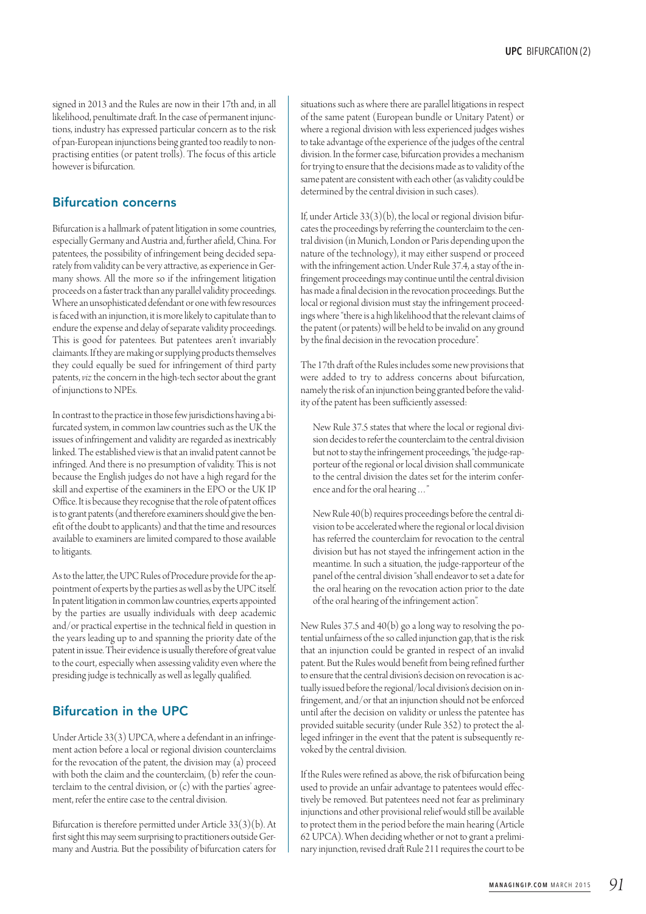signed in 2013 and the Rules are now in their 17th and, in all likelihood, penultimate draft. In the case of permanent injunctions, industry has expressed particular concern as to the risk of pan-European injunctions beinggranted too readilyto nonpractising entities (or patent trolls). The focus of this article however is bifurcation.

#### Bifurcation concerns

Bifurcation is a hallmark of patent litigation in some countries, especially Germany and Austria and, further afield, China. For patentees, the possibility of infringement being decided separately from validity can be very attractive, as experience in Germany shows. All the more so if the infringement litigation proceeds on a faster track than any parallel validity proceedings. Where an unsophisticated defendant or one with few resources is faced with an injunction, it is more likely to capitulate than to endure the expense and delay of separate validity proceedings. This is good for patentees. But patentees aren't invariably claimants. If they are making or supplying products themselves they could equally be sued for infringement of third party patents, *viz* the concern in the high-tech sector about the grant of injunctions to NPEs.

In contrast to the practice in those few jurisdictions having a bifurcated system, in common law countries such as the UK the issues of infringement and validity are regarded as inextricably linked. The established view is that an invalid patent cannot be infringed. And there is no presumption of validity. This is not because the English judges do not have a high regard for the skill and expertise of the examiners in the EPO or the UK IP Office. It is because they recognise that the role of patent offices is to grant patents (and therefore examiners should give the benefit of the doubt to applicants) and that the time and resources available to examiners are limited compared to those available to litigants.

As to the latter, the UPC Rules of Procedure provide for the appointment of experts by the parties as well as by the UPC itself. In patent litigation in common law countries, experts appointed by the parties are usually individuals with deep academic and/or practical expertise in the technical field in question in the years leading up to and spanning the priority date of the patent in issue. Their evidence is usually therefore of great value to the court, especially when assessing validity even where the presiding judge is technically as well as legally qualified.

## Bifurcation in the UPC

Under Article 33(3) UPCA, where a defendant in an infringement action before a local or regional division counterclaims for the revocation of the patent, the division may (a) proceed with both the claim and the counterclaim,  $(b)$  refer the counterclaim to the central division, or (c) with the parties' agreement, refer the entire case to the central division.

Bifurcation is therefore permitted under Article 33(3)(b). At first sight this may seem surprising to practitioners outside Germany and Austria. But the possibility of bifurcation caters for

situations such as where there are parallel litigations in respect of the same patent (European bundle or Unitary Patent) or where a regional division with less experienced judges wishes to take advantage of the experience of the judges of the central division. In the former case, bifurcation provides a mechanism for trying to ensure that the decisions made as to validity of the same patent are consistent with each other (as validity could be determined by the central division in such cases).

If, under Article  $33(3)(b)$ , the local or regional division bifurcates the proceedings by referring the counterclaim to the central division (in Munich, London or Paris depending upon the nature of the technology), it may either suspend or proceed with the infringement action. Under Rule 37.4, a stay of the infringement proceedings may continue until the central division has made a final decision in the revocation proceedings. But the local or regional division must stay the infringement proceedings where "there is a high likelihood that the relevant claims of the patent (or patents) will be held to be invalid on any ground by the final decision in the revocation procedure".

The 17th draft of the Rules includes some new provisions that were added to try to address concerns about bifurcation, namely the risk of an injunction being granted before the validity of the patent has been sufficiently assessed:

New Rule 37.5 states that where the local or regional division decides to refer the counterclaim to the central division but not to stay the infringement proceedings, "the judge-rapporteur of the regional or local division shall communicate to the central division the dates set for the interim conferenceand for the oral hearing…"

New Rule  $40(b)$  requires proceedings before the central division to be accelerated where the regional or local division has referred the counterclaim for revocation to the central division but has not stayed the infringement action in the meantime. In such a situation, the judge-rapporteur of the panel of the central division "shall endeavor to set a date for the oral hearing on the revocation action prior to the date of the oral hearing of the infringement action".

New Rules 37.5 and 40(b) go a long way to resolving the potential unfairness of the so called injunction gap, that is the risk that an injunction could be granted in respect of an invalid patent. But the Rules would benefit from being refined further to ensure that the central division's decision on revocation is actually issued before the regional/local division's decision on infringement, and/or that an injunction should not be enforced until after the decision on validity or unless the patentee has provided suitable security(under Rule 352) to protect the alleged infringer in the event that the patent is subsequently revoked by the central division.

If the Rules were refined as above, the risk of bifurcation being used to provide an unfair advantage to patentees would effectively be removed. But patentees need not fear as preliminary injunctions and other provisional relief would still be available to protect them in the period before the main hearing (Article 62 UPCA). When deciding whether or not to grant a preliminary injunction, revised draft Rule 211 requires the court to be